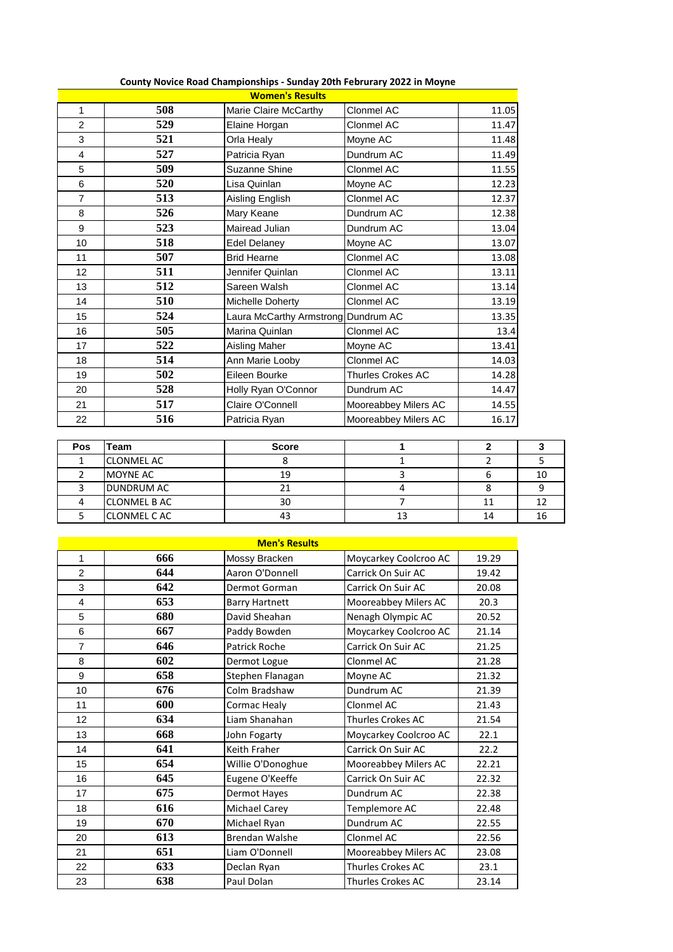| <b>Women's Results</b> |     |                                     |                      |       |  |  |
|------------------------|-----|-------------------------------------|----------------------|-------|--|--|
| $\mathbf{1}$           | 508 | Marie Claire McCarthy               | Clonmel AC           | 11.05 |  |  |
| $\overline{2}$         | 529 | Elaine Horgan                       | Clonmel AC           | 11.47 |  |  |
| 3                      | 521 | Orla Healy                          | Moyne AC             | 11.48 |  |  |
| 4                      | 527 | Patricia Ryan                       | Dundrum AC           | 11.49 |  |  |
| 5                      | 509 | Suzanne Shine                       | Clonmel AC           | 11.55 |  |  |
| 6                      | 520 | Lisa Quinlan                        | Moyne AC             | 12.23 |  |  |
| $\overline{7}$         | 513 | Aisling English                     | Clonmel AC           | 12.37 |  |  |
| 8                      | 526 | Mary Keane                          | Dundrum AC           | 12.38 |  |  |
| 9                      | 523 | Mairead Julian                      | Dundrum AC           | 13.04 |  |  |
| 10                     | 518 | <b>Edel Delaney</b>                 | Moyne AC             | 13.07 |  |  |
| 11                     | 507 | <b>Brid Hearne</b>                  | Clonmel AC           | 13.08 |  |  |
| 12                     | 511 | Jennifer Quinlan                    | Clonmel AC           | 13.11 |  |  |
| 13                     | 512 | Sareen Walsh                        | Clonmel AC           | 13.14 |  |  |
| 14                     | 510 | Michelle Doherty                    | Clonmel AC           | 13.19 |  |  |
| 15                     | 524 | Laura McCarthy Armstrong Dundrum AC |                      | 13.35 |  |  |
| 16                     | 505 | Marina Quinlan                      | Clonmel AC           | 13.4  |  |  |
| 17                     | 522 | <b>Aisling Maher</b>                | Moyne AC             | 13.41 |  |  |
| 18                     | 514 | Ann Marie Looby                     | Clonmel AC           | 14.03 |  |  |
| 19                     | 502 | Eileen Bourke                       | Thurles Crokes AC    | 14.28 |  |  |
| 20                     | 528 | Holly Ryan O'Connor                 | Dundrum AC           | 14.47 |  |  |
| 21                     | 517 | Claire O'Connell                    | Mooreabbey Milers AC | 14.55 |  |  |
| 22                     | 516 | Patricia Ryan                       | Mooreabbey Milers AC | 16.17 |  |  |

## **County Novice Road Championships - Sunday 20th Februrary 2022 in Moyne**

| <b>Pos</b> | Team                | <b>Score</b> |    |    |
|------------|---------------------|--------------|----|----|
|            | <b>CLONMEL AC</b>   |              |    |    |
|            | <b>MOYNE AC</b>     | 19           |    |    |
|            | <b>DUNDRUM AC</b>   |              |    |    |
|            | <b>CLONMEL B AC</b> | 30           |    |    |
|            | <b>CLONMEL CAC</b>  |              | 13 | Ιh |

| <b>Men's Results</b>    |     |                       |                          |       |  |  |
|-------------------------|-----|-----------------------|--------------------------|-------|--|--|
| 1                       | 666 | Mossy Bracken         | Moycarkey Coolcroo AC    | 19.29 |  |  |
| $\mathfrak{p}$          | 644 | Aaron O'Donnell       | Carrick On Suir AC       | 19.42 |  |  |
| 3                       | 642 | Dermot Gorman         | Carrick On Suir AC       | 20.08 |  |  |
| $\overline{\mathbf{4}}$ | 653 | <b>Barry Hartnett</b> | Mooreabbey Milers AC     | 20.3  |  |  |
| 5                       | 680 | David Sheahan         | Nenagh Olympic AC        | 20.52 |  |  |
| 6                       | 667 | Paddy Bowden          | Moycarkey Coolcroo AC    | 21.14 |  |  |
| $\overline{7}$          | 646 | Patrick Roche         | Carrick On Suir AC       | 21.25 |  |  |
| 8                       | 602 | Dermot Logue          | Clonmel AC               | 21.28 |  |  |
| 9                       | 658 | Stephen Flanagan      | Moyne AC                 | 21.32 |  |  |
| 10                      | 676 | Colm Bradshaw         | Dundrum AC               | 21.39 |  |  |
| 11                      | 600 | Cormac Healy          | Clonmel AC               | 21.43 |  |  |
| 12                      | 634 | Liam Shanahan         | Thurles Crokes AC        | 21.54 |  |  |
| 13                      | 668 | John Fogarty          | Moycarkey Coolcroo AC    | 22.1  |  |  |
| 14                      | 641 | Keith Fraher          | Carrick On Suir AC       | 22.2  |  |  |
| 15                      | 654 | Willie O'Donoghue     | Mooreabbey Milers AC     | 22.21 |  |  |
| 16                      | 645 | Eugene O'Keeffe       | Carrick On Suir AC       | 22.32 |  |  |
| 17                      | 675 | Dermot Hayes          | Dundrum AC               | 22.38 |  |  |
| 18                      | 616 | Michael Carey         | Templemore AC            | 22.48 |  |  |
| 19                      | 670 | Michael Ryan          | Dundrum AC               | 22.55 |  |  |
| 20                      | 613 | <b>Brendan Walshe</b> | Clonmel AC               | 22.56 |  |  |
| 21                      | 651 | Liam O'Donnell        | Mooreabbey Milers AC     | 23.08 |  |  |
| 22                      | 633 | Declan Ryan           | <b>Thurles Crokes AC</b> | 23.1  |  |  |
| 23                      | 638 | Paul Dolan            | <b>Thurles Crokes AC</b> | 23.14 |  |  |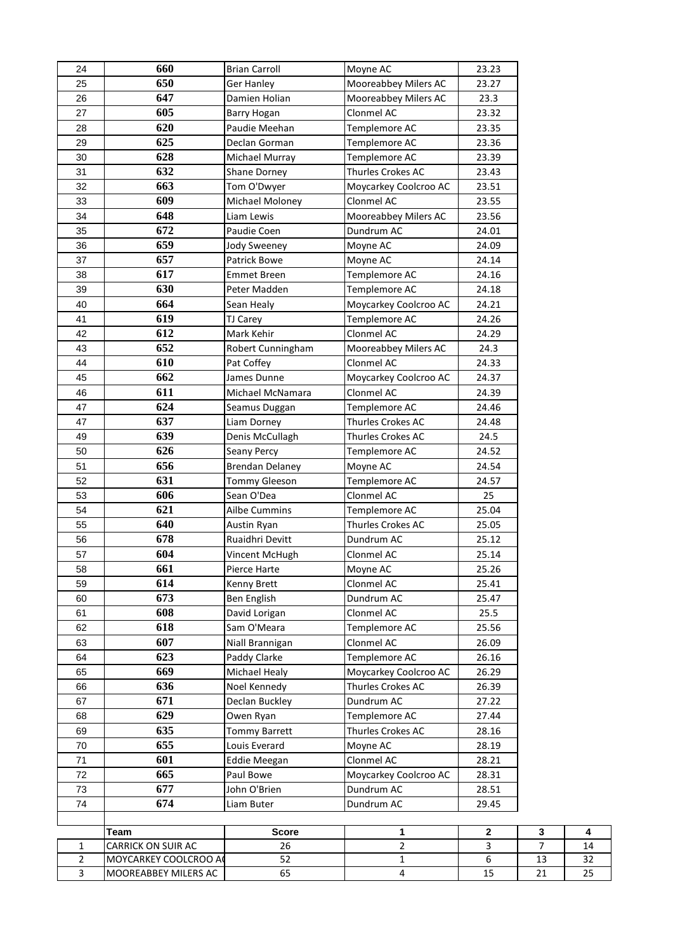| 24             | 660                  | <b>Brian Carroll</b>   | Moyne AC              | 23.23        |                |    |
|----------------|----------------------|------------------------|-----------------------|--------------|----------------|----|
| 25             | 650                  | Ger Hanley             | Mooreabbey Milers AC  | 23.27        |                |    |
| 26             | 647                  | Damien Holian          | Mooreabbey Milers AC  | 23.3         |                |    |
| 27             | 605                  | <b>Barry Hogan</b>     | Clonmel AC            | 23.32        |                |    |
| 28             | 620                  | Paudie Meehan          | Templemore AC         | 23.35        |                |    |
| 29             | 625                  | Declan Gorman          | Templemore AC         | 23.36        |                |    |
| 30             | 628                  | Michael Murray         | Templemore AC         | 23.39        |                |    |
| 31             | 632                  | <b>Shane Dorney</b>    | Thurles Crokes AC     | 23.43        |                |    |
| 32             | 663                  | Tom O'Dwyer            | Moycarkey Coolcroo AC | 23.51        |                |    |
| 33             | 609                  | Michael Moloney        | Clonmel AC            | 23.55        |                |    |
| 34             | 648                  | Liam Lewis             | Mooreabbey Milers AC  | 23.56        |                |    |
| 35             | 672                  | Paudie Coen            | Dundrum AC            | 24.01        |                |    |
| 36             | 659                  | Jody Sweeney           | Moyne AC              | 24.09        |                |    |
| 37             | 657                  | Patrick Bowe           | Moyne AC              | 24.14        |                |    |
| 38             | 617                  | <b>Emmet Breen</b>     | Templemore AC         | 24.16        |                |    |
| 39             | 630                  | Peter Madden           | Templemore AC         | 24.18        |                |    |
| 40             | 664                  | Sean Healy             | Moycarkey Coolcroo AC | 24.21        |                |    |
| 41             | 619                  | <b>TJ Carey</b>        | Templemore AC         | 24.26        |                |    |
| 42             | 612                  | Mark Kehir             | Clonmel AC            | 24.29        |                |    |
| 43             | 652                  | Robert Cunningham      | Mooreabbey Milers AC  | 24.3         |                |    |
| 44             | 610                  | Pat Coffey             | Clonmel AC            | 24.33        |                |    |
| 45             | 662                  | James Dunne            | Moycarkey Coolcroo AC | 24.37        |                |    |
| 46             | 611                  | Michael McNamara       | Clonmel AC            | 24.39        |                |    |
| 47             | 624                  | Seamus Duggan          | Templemore AC         | 24.46        |                |    |
| 47             | 637                  | Liam Dorney            | Thurles Crokes AC     | 24.48        |                |    |
| 49             | 639                  | Denis McCullagh        | Thurles Crokes AC     | 24.5         |                |    |
| 50             | 626                  | Seany Percy            | Templemore AC         | 24.52        |                |    |
| 51             | 656                  | <b>Brendan Delaney</b> | Moyne AC              | 24.54        |                |    |
| 52             | 631                  | <b>Tommy Gleeson</b>   | Templemore AC         | 24.57        |                |    |
| 53             | 606                  | Sean O'Dea             | Clonmel AC            | 25           |                |    |
| 54             | 621                  | Ailbe Cummins          | Templemore AC         | 25.04        |                |    |
| 55             | 640                  | Austin Ryan            | Thurles Crokes AC     | 25.05        |                |    |
| 56             | 678                  | Ruaidhri Devitt        | Dundrum AC            | 25.12        |                |    |
| 57             | 604                  | Vincent McHugh         | Clonmel AC            | 25.14        |                |    |
| 58             | 661                  | Pierce Harte           | Moyne AC              | 25.26        |                |    |
| 59             | 614                  | Kenny Brett            | Clonmel AC            | 25.41        |                |    |
| 60             | 673                  | <b>Ben English</b>     | Dundrum AC            | 25.47        |                |    |
| 61             | 608                  | David Lorigan          | Clonmel AC            | 25.5         |                |    |
| 62             | 618                  | Sam O'Meara            | Templemore AC         | 25.56        |                |    |
| 63             | 607                  | Niall Brannigan        | Clonmel AC            | 26.09        |                |    |
| 64             | 623                  | Paddy Clarke           | Templemore AC         | 26.16        |                |    |
| 65             | 669                  | Michael Healy          | Moycarkey Coolcroo AC | 26.29        |                |    |
| 66             | 636                  | Noel Kennedy           | Thurles Crokes AC     | 26.39        |                |    |
| 67             | 671                  | Declan Buckley         | Dundrum AC            | 27.22        |                |    |
| 68             | 629                  | Owen Ryan              | Templemore AC         | 27.44        |                |    |
| 69             | 635                  | <b>Tommy Barrett</b>   | Thurles Crokes AC     | 28.16        |                |    |
| 70             | 655                  | Louis Everard          | Moyne AC              | 28.19        |                |    |
| 71             | 601                  | <b>Eddie Meegan</b>    | Clonmel AC            | 28.21        |                |    |
| 72             | 665                  | Paul Bowe              | Moycarkey Coolcroo AC | 28.31        |                |    |
| 73             | 677                  | John O'Brien           | Dundrum AC            | 28.51        |                |    |
| 74             | 674                  | Liam Buter             | Dundrum AC            | 29.45        |                |    |
|                |                      |                        |                       |              |                |    |
|                | Team                 | <b>Score</b>           | 1                     | $\mathbf{2}$ | $\mathbf{3}$   | 4  |
| 1              | CARRICK ON SUIR AC   | 26                     | $\overline{2}$        | 3            | $\overline{7}$ | 14 |
| $\overline{2}$ | MOYCARKEY COOLCROO A | 52                     | $\mathbf 1$           | 6            | 13             | 32 |
| 3              | MOOREABBEY MILERS AC | 65                     | 4                     | 15           | 21             | 25 |